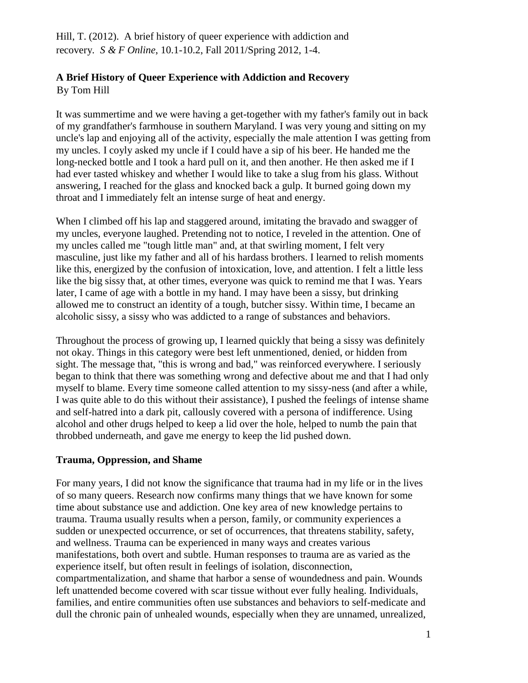Hill, T. (2012). A brief history of queer experience with addiction and recovery*. S & F Online*, 10.1-10.2, Fall 2011/Spring 2012, 1-4.

# **A Brief History of Queer Experience with Addiction and Recovery**

By Tom Hill

It was summertime and we were having a get-together with my father's family out in back of my grandfather's farmhouse in southern Maryland. I was very young and sitting on my uncle's lap and enjoying all of the activity, especially the male attention I was getting from my uncles. I coyly asked my uncle if I could have a sip of his beer. He handed me the long-necked bottle and I took a hard pull on it, and then another. He then asked me if I had ever tasted whiskey and whether I would like to take a slug from his glass. Without answering, I reached for the glass and knocked back a gulp. It burned going down my throat and I immediately felt an intense surge of heat and energy.

When I climbed off his lap and staggered around, imitating the bravado and swagger of my uncles, everyone laughed. Pretending not to notice, I reveled in the attention. One of my uncles called me "tough little man" and, at that swirling moment, I felt very masculine, just like my father and all of his hardass brothers. I learned to relish moments like this, energized by the confusion of intoxication, love, and attention. I felt a little less like the big sissy that, at other times, everyone was quick to remind me that I was. Years later, I came of age with a bottle in my hand. I may have been a sissy, but drinking allowed me to construct an identity of a tough, butcher sissy. Within time, I became an alcoholic sissy, a sissy who was addicted to a range of substances and behaviors.

Throughout the process of growing up, I learned quickly that being a sissy was definitely not okay. Things in this category were best left unmentioned, denied, or hidden from sight. The message that, "this is wrong and bad," was reinforced everywhere. I seriously began to think that there was something wrong and defective about me and that I had only myself to blame. Every time someone called attention to my sissy-ness (and after a while, I was quite able to do this without their assistance), I pushed the feelings of intense shame and self-hatred into a dark pit, callously covered with a persona of indifference. Using alcohol and other drugs helped to keep a lid over the hole, helped to numb the pain that throbbed underneath, and gave me energy to keep the lid pushed down.

# **Trauma, Oppression, and Shame**

For many years, I did not know the significance that trauma had in my life or in the lives of so many queers. Research now confirms many things that we have known for some time about substance use and addiction. One key area of new knowledge pertains to trauma. Trauma usually results when a person, family, or community experiences a sudden or unexpected occurrence, or set of occurrences, that threatens stability, safety, and wellness. Trauma can be experienced in many ways and creates various manifestations, both overt and subtle. Human responses to trauma are as varied as the experience itself, but often result in feelings of isolation, disconnection, compartmentalization, and shame that harbor a sense of woundedness and pain. Wounds left unattended become covered with scar tissue without ever fully healing. Individuals, families, and entire communities often use substances and behaviors to self-medicate and dull the chronic pain of unhealed wounds, especially when they are unnamed, unrealized,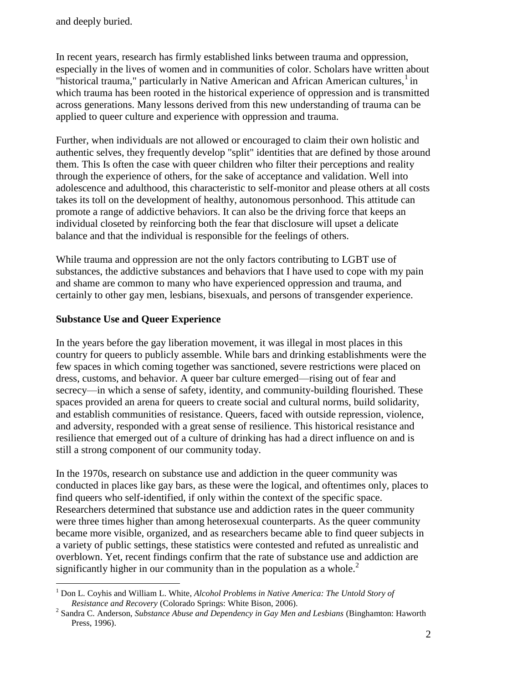In recent years, research has firmly established links between trauma and oppression, especially in the lives of women and in communities of color. Scholars have written about "historical trauma," particularly in Native American and African American cultures, $<sup>1</sup>$  in</sup> which trauma has been rooted in the historical experience of oppression and is transmitted across generations. Many lessons derived from this new understanding of trauma can be applied to queer culture and experience with oppression and trauma.

Further, when individuals are not allowed or encouraged to claim their own holistic and authentic selves, they frequently develop "split" identities that are defined by those around them. This Is often the case with queer children who filter their perceptions and reality through the experience of others, for the sake of acceptance and validation. Well into adolescence and adulthood, this characteristic to self-monitor and please others at all costs takes its toll on the development of healthy, autonomous personhood. This attitude can promote a range of addictive behaviors. It can also be the driving force that keeps an individual closeted by reinforcing both the fear that disclosure will upset a delicate balance and that the individual is responsible for the feelings of others.

While trauma and oppression are not the only factors contributing to LGBT use of substances, the addictive substances and behaviors that I have used to cope with my pain and shame are common to many who have experienced oppression and trauma, and certainly to other gay men, lesbians, bisexuals, and persons of transgender experience.

### **Substance Use and Queer Experience**

 $\overline{a}$ 

In the years before the gay liberation movement, it was illegal in most places in this country for queers to publicly assemble. While bars and drinking establishments were the few spaces in which coming together was sanctioned, severe restrictions were placed on dress, customs, and behavior. A queer bar culture emerged—rising out of fear and secrecy—in which a sense of safety, identity, and community-building flourished. These spaces provided an arena for queers to create social and cultural norms, build solidarity, and establish communities of resistance. Queers, faced with outside repression, violence, and adversity, responded with a great sense of resilience. This historical resistance and resilience that emerged out of a culture of drinking has had a direct influence on and is still a strong component of our community today.

In the 1970s, research on substance use and addiction in the queer community was conducted in places like gay bars, as these were the logical, and oftentimes only, places to find queers who self-identified, if only within the context of the specific space. Researchers determined that substance use and addiction rates in the queer community were three times higher than among heterosexual counterparts. As the queer community became more visible, organized, and as researchers became able to find queer subjects in a variety of public settings, these statistics were contested and refuted as unrealistic and overblown. Yet, recent findings confirm that the rate of substance use and addiction are significantly higher in our community than in the population as a whole.<sup>2</sup>

<sup>1</sup> Don L. Coyhis and William L. White, *Alcohol Problems in Native America: The Untold Story of Resistance and Recovery* (Colorado Springs: White Bison, 2006).

<sup>&</sup>lt;sup>2</sup> Sandra C. Anderson, *Substance Abuse and Dependency in Gay Men and Lesbians* (Binghamton: Haworth Press, 1996).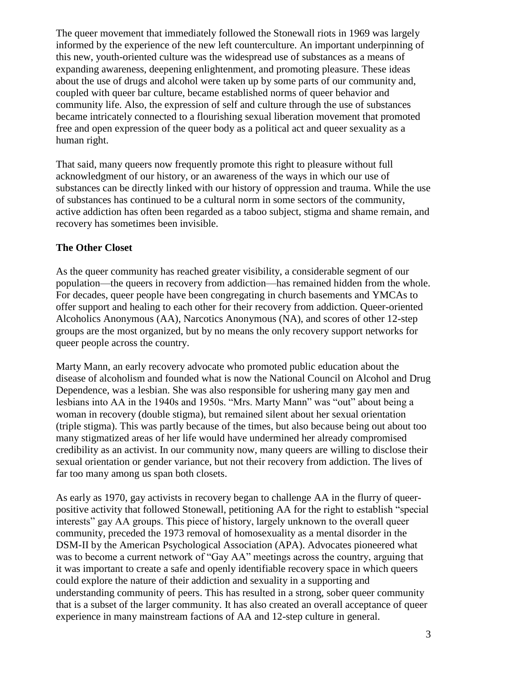The queer movement that immediately followed the Stonewall riots in 1969 was largely informed by the experience of the new left counterculture. An important underpinning of this new, youth-oriented culture was the widespread use of substances as a means of expanding awareness, deepening enlightenment, and promoting pleasure. These ideas about the use of drugs and alcohol were taken up by some parts of our community and, coupled with queer bar culture, became established norms of queer behavior and community life. Also, the expression of self and culture through the use of substances became intricately connected to a flourishing sexual liberation movement that promoted free and open expression of the queer body as a political act and queer sexuality as a human right.

That said, many queers now frequently promote this right to pleasure without full acknowledgment of our history, or an awareness of the ways in which our use of substances can be directly linked with our history of oppression and trauma. While the use of substances has continued to be a cultural norm in some sectors of the community, active addiction has often been regarded as a taboo subject, stigma and shame remain, and recovery has sometimes been invisible.

### **The Other Closet**

As the queer community has reached greater visibility, a considerable segment of our population—the queers in recovery from addiction—has remained hidden from the whole. For decades, queer people have been congregating in church basements and YMCAs to offer support and healing to each other for their recovery from addiction. Queer-oriented Alcoholics Anonymous (AA), Narcotics Anonymous (NA), and scores of other 12-step groups are the most organized, but by no means the only recovery support networks for queer people across the country.

Marty Mann, an early recovery advocate who promoted public education about the disease of alcoholism and founded what is now the National Council on Alcohol and Drug Dependence, was a lesbian. She was also responsible for ushering many gay men and lesbians into AA in the 1940s and 1950s. "Mrs. Marty Mann" was "out" about being a woman in recovery (double stigma), but remained silent about her sexual orientation (triple stigma). This was partly because of the times, but also because being out about too many stigmatized areas of her life would have undermined her already compromised credibility as an activist. In our community now, many queers are willing to disclose their sexual orientation or gender variance, but not their recovery from addiction. The lives of far too many among us span both closets.

As early as 1970, gay activists in recovery began to challenge AA in the flurry of queerpositive activity that followed Stonewall, petitioning AA for the right to establish "special interests" gay AA groups. This piece of history, largely unknown to the overall queer community, preceded the 1973 removal of homosexuality as a mental disorder in the DSM-II by the American Psychological Association (APA). Advocates pioneered what was to become a current network of "Gay AA" meetings across the country, arguing that it was important to create a safe and openly identifiable recovery space in which queers could explore the nature of their addiction and sexuality in a supporting and understanding community of peers. This has resulted in a strong, sober queer community that is a subset of the larger community. It has also created an overall acceptance of queer experience in many mainstream factions of AA and 12-step culture in general.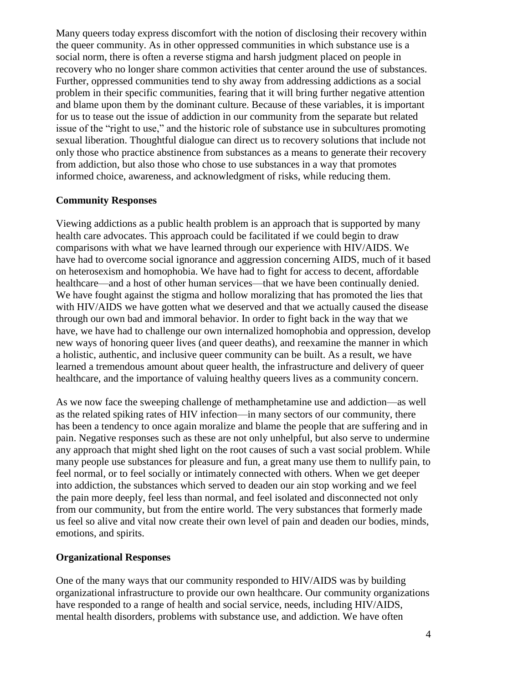Many queers today express discomfort with the notion of disclosing their recovery within the queer community. As in other oppressed communities in which substance use is a social norm, there is often a reverse stigma and harsh judgment placed on people in recovery who no longer share common activities that center around the use of substances. Further, oppressed communities tend to shy away from addressing addictions as a social problem in their specific communities, fearing that it will bring further negative attention and blame upon them by the dominant culture. Because of these variables, it is important for us to tease out the issue of addiction in our community from the separate but related issue of the "right to use," and the historic role of substance use in subcultures promoting sexual liberation. Thoughtful dialogue can direct us to recovery solutions that include not only those who practice abstinence from substances as a means to generate their recovery from addiction, but also those who chose to use substances in a way that promotes informed choice, awareness, and acknowledgment of risks, while reducing them.

#### **Community Responses**

Viewing addictions as a public health problem is an approach that is supported by many health care advocates. This approach could be facilitated if we could begin to draw comparisons with what we have learned through our experience with HIV/AIDS. We have had to overcome social ignorance and aggression concerning AIDS, much of it based on heterosexism and homophobia. We have had to fight for access to decent, affordable healthcare—and a host of other human services—that we have been continually denied. We have fought against the stigma and hollow moralizing that has promoted the lies that with HIV/AIDS we have gotten what we deserved and that we actually caused the disease through our own bad and immoral behavior. In order to fight back in the way that we have, we have had to challenge our own internalized homophobia and oppression, develop new ways of honoring queer lives (and queer deaths), and reexamine the manner in which a holistic, authentic, and inclusive queer community can be built. As a result, we have learned a tremendous amount about queer health, the infrastructure and delivery of queer healthcare, and the importance of valuing healthy queers lives as a community concern.

As we now face the sweeping challenge of methamphetamine use and addiction—as well as the related spiking rates of HIV infection—in many sectors of our community, there has been a tendency to once again moralize and blame the people that are suffering and in pain. Negative responses such as these are not only unhelpful, but also serve to undermine any approach that might shed light on the root causes of such a vast social problem. While many people use substances for pleasure and fun, a great many use them to nullify pain, to feel normal, or to feel socially or intimately connected with others. When we get deeper into addiction, the substances which served to deaden our ain stop working and we feel the pain more deeply, feel less than normal, and feel isolated and disconnected not only from our community, but from the entire world. The very substances that formerly made us feel so alive and vital now create their own level of pain and deaden our bodies, minds, emotions, and spirits.

#### **Organizational Responses**

One of the many ways that our community responded to HIV/AIDS was by building organizational infrastructure to provide our own healthcare. Our community organizations have responded to a range of health and social service, needs, including HIV/AIDS, mental health disorders, problems with substance use, and addiction. We have often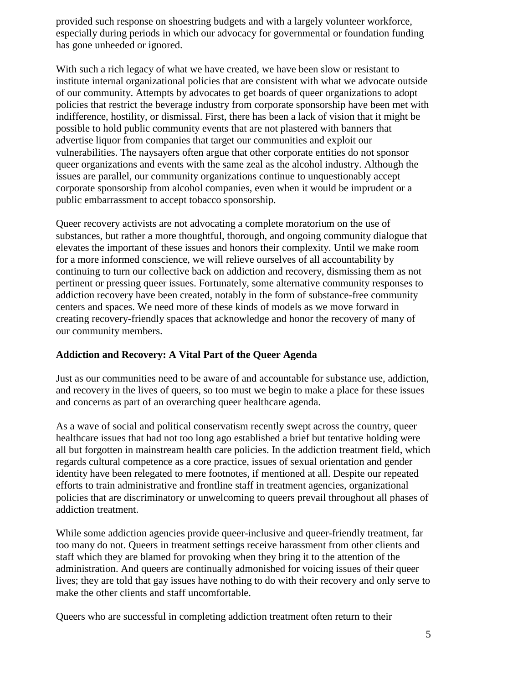provided such response on shoestring budgets and with a largely volunteer workforce, especially during periods in which our advocacy for governmental or foundation funding has gone unheeded or ignored.

With such a rich legacy of what we have created, we have been slow or resistant to institute internal organizational policies that are consistent with what we advocate outside of our community. Attempts by advocates to get boards of queer organizations to adopt policies that restrict the beverage industry from corporate sponsorship have been met with indifference, hostility, or dismissal. First, there has been a lack of vision that it might be possible to hold public community events that are not plastered with banners that advertise liquor from companies that target our communities and exploit our vulnerabilities. The naysayers often argue that other corporate entities do not sponsor queer organizations and events with the same zeal as the alcohol industry. Although the issues are parallel, our community organizations continue to unquestionably accept corporate sponsorship from alcohol companies, even when it would be imprudent or a public embarrassment to accept tobacco sponsorship.

Queer recovery activists are not advocating a complete moratorium on the use of substances, but rather a more thoughtful, thorough, and ongoing community dialogue that elevates the important of these issues and honors their complexity. Until we make room for a more informed conscience, we will relieve ourselves of all accountability by continuing to turn our collective back on addiction and recovery, dismissing them as not pertinent or pressing queer issues. Fortunately, some alternative community responses to addiction recovery have been created, notably in the form of substance-free community centers and spaces. We need more of these kinds of models as we move forward in creating recovery-friendly spaces that acknowledge and honor the recovery of many of our community members.

## **Addiction and Recovery: A Vital Part of the Queer Agenda**

Just as our communities need to be aware of and accountable for substance use, addiction, and recovery in the lives of queers, so too must we begin to make a place for these issues and concerns as part of an overarching queer healthcare agenda.

As a wave of social and political conservatism recently swept across the country, queer healthcare issues that had not too long ago established a brief but tentative holding were all but forgotten in mainstream health care policies. In the addiction treatment field, which regards cultural competence as a core practice, issues of sexual orientation and gender identity have been relegated to mere footnotes, if mentioned at all. Despite our repeated efforts to train administrative and frontline staff in treatment agencies, organizational policies that are discriminatory or unwelcoming to queers prevail throughout all phases of addiction treatment.

While some addiction agencies provide queer-inclusive and queer-friendly treatment, far too many do not. Queers in treatment settings receive harassment from other clients and staff which they are blamed for provoking when they bring it to the attention of the administration. And queers are continually admonished for voicing issues of their queer lives; they are told that gay issues have nothing to do with their recovery and only serve to make the other clients and staff uncomfortable.

Queers who are successful in completing addiction treatment often return to their